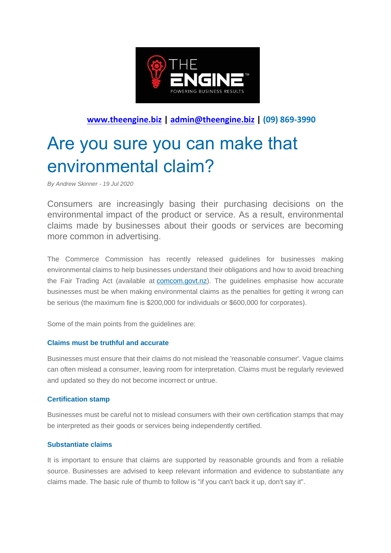

## **[www.theengine.biz](http://www.theengine.biz/) | [admin@theengine.biz](mailto:admin@theengine.biz) | (09) 869-3990**

# Are you sure you can make that environmental claim?

*By Andrew Skinner - 19 Jul 2020*

Consumers are increasingly basing their purchasing decisions on the environmental impact of the product or service. As a result, environmental claims made by businesses about their goods or services are becoming more common in advertising.

The Commerce Commission has recently released guidelines for businesses making environmental claims to help businesses understand their obligations and how to avoid breaching the Fair Trading Act (available at [comcom.govt.nz\)](https://comcom.govt.nz/). The guidelines emphasise how accurate businesses must be when making environmental claims as the penalties for getting it wrong can be serious (the maximum fine is \$200,000 for individuals or \$600,000 for corporates).

Some of the main points from the guidelines are:

#### **Claims must be truthful and accurate**

Businesses must ensure that their claims do not mislead the 'reasonable consumer'. Vague claims can often mislead a consumer, leaving room for interpretation. Claims must be regularly reviewed and updated so they do not become incorrect or untrue.

#### **Certification stamp**

Businesses must be careful not to mislead consumers with their own certification stamps that may be interpreted as their goods or services being independently certified.

#### **Substantiate claims**

It is important to ensure that claims are supported by reasonable grounds and from a reliable source. Businesses are advised to keep relevant information and evidence to substantiate any claims made. The basic rule of thumb to follow is "if you can't back it up, don't say it".